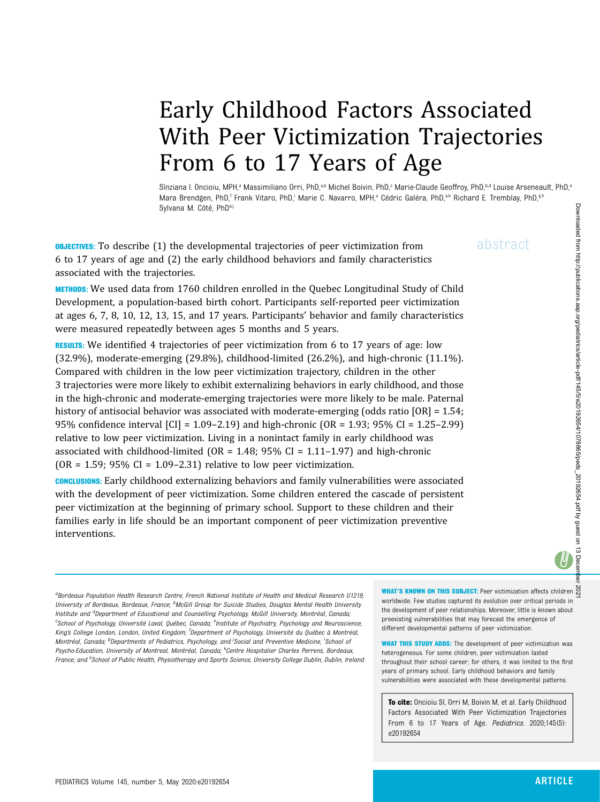# Early Childhood Factors Associated With Peer Victimization Trajectories From 6 to 17 Years of Age

Sînziana I. Oncioiu, MPH,<sup>a</sup> Massimiliano Orri, PhD,<sup>a,b</sup> Michel Boivin, PhD,<sup>c</sup> Marie-Claude Geoffroy, PhD,<sup>b,d</sup> Louise Arseneault, PhD,<sup>e</sup> Mara Brendgen, PhD,<sup>f</sup> Frank Vitaro, PhD,<sup>i</sup> Marie C. Navarro, MPH,<sup>a</sup> Cédric Galéra, PhD,<sup>a,k</sup> Richard E. Tremblay, PhD,<sup>g,h</sup> Sylvana M. Côté, PhD<sup>a,j</sup>

**OBJECTIVES:** To describe (1) the developmental trajectories of peer victimization from  $a\bar{b}$ stract 6 to 17 years of age and (2) the early childhood behaviors and family characteristics associated with the trajectories.

METHODS: We used data from 1760 children enrolled in the Quebec Longitudinal Study of Child Development, a population-based birth cohort. Participants self-reported peer victimization at ages 6, 7, 8, 10, 12, 13, 15, and 17 years. Participants' behavior and family characteristics were measured repeatedly between ages 5 months and 5 years.

RESULTS: We identified 4 trajectories of peer victimization from 6 to 17 years of age: low (32.9%), moderate-emerging (29.8%), childhood-limited (26.2%), and high-chronic (11.1%). Compared with children in the low peer victimization trajectory, children in the other 3 trajectories were more likely to exhibit externalizing behaviors in early childhood, and those in the high-chronic and moderate-emerging trajectories were more likely to be male. Paternal history of antisocial behavior was associated with moderate-emerging (odds ratio [OR] = 1.54; 95% confidence interval [CI] = 1.09–2.19) and high-chronic (OR = 1.93; 95% CI = 1.25–2.99) relative to low peer victimization. Living in a nonintact family in early childhood was associated with childhood-limited ( $OR = 1.48$ ; 95% CI = 1.11–1.97) and high-chronic (OR = 1.59; 95% CI = 1.09-2.31) relative to low peer victimization.

CONCLUSIONS: Early childhood externalizing behaviors and family vulnerabilities were associated with the development of peer victimization. Some children entered the cascade of persistent peer victimization at the beginning of primary school. Support to these children and their families early in life should be an important component of peer victimization preventive interventions.

<sup>a</sup>Bordeaux Population Health Research Centre, French National Institute of Health and Medical Research U1219, University of Bordeaux, Bordeaux, France; <sup>b</sup>McGill Group for Suicide Studies, Douglas Mental Health University Institute and <sup>d</sup>Department of Educational and Counselling Psychology, McGill University, Montréal, Canada; <sup>c</sup>School of Psychology, Université Laval, Québec, Canada; <sup>e</sup>Institute of Psychiatry, Psychology and Neuroscience, King's College London, London, United Kingdom; <sup>f</sup>Department of Psychology, Université du Québec à Montréal, Montréal, Canada; <sup>g</sup>Departments of Pediatrics, Psychology, and <sup>j</sup>Social and Preventive Medicine, <sup>i</sup>School oi Psycho-Education, University of Montreal, Montréal, Canada; <sup>k</sup>Centre Hospitalier Charles Perrens, Bordeaux, France; and <sup>h</sup>School of Public Health, Physiotherapy and Sports Science, University College Dublin, Dublin, Ireland WHAT'S KNOWN ON THIS SUBJECT: Peer victimization affects children worldwide. Few studies captured its evolution over critical periods in the development of peer relationships. Moreover, little is known about preexisting vulnerabilities that may forecast the emergence of different developmental patterns of peer victimization.

WHAT THIS STUDY ADDS: The development of peer victimization was heterogeneous. For some children, peer victimization lasted throughout their school career; for others, it was limited to the first years of primary school. Early childhood behaviors and family vulnerabilities were associated with these developmental patterns.

To cite: Oncioiu SI, Orri M, Boivin M, et al. Early Childhood Factors Associated With Peer Victimization Trajectories From 6 to 17 Years of Age. Pediatrics. 2020;145(5): e20192654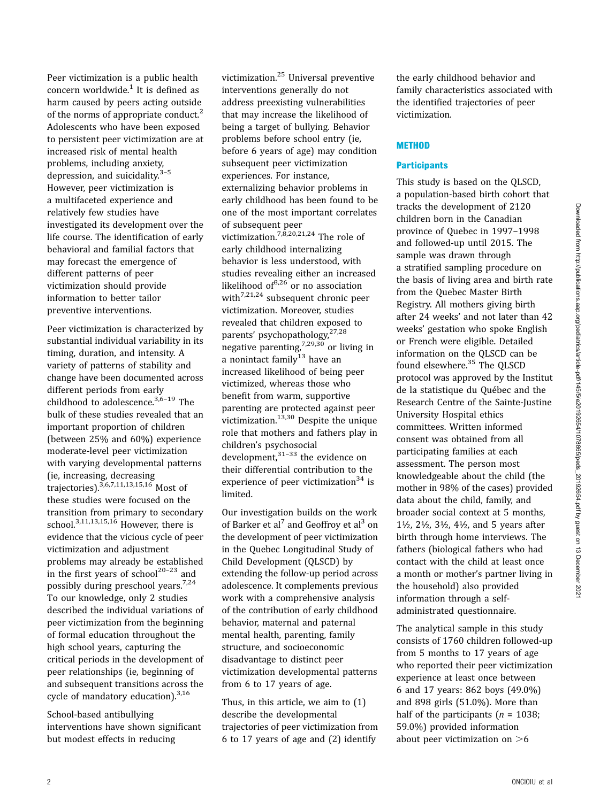Peer victimization is a public health concern worldwide. $1$  It is defined as harm caused by peers acting outside of the norms of appropriate conduct.<sup>[2](#page-7-0)</sup> Adolescents who have been exposed to persistent peer victimization are at increased risk of mental health problems, including anxiety, depression, and suicidality. $3-5$  $3-5$  $3-5$ However, peer victimization is a multifaceted experience and relatively few studies have investigated its development over the life course. The identification of early behavioral and familial factors that may forecast the emergence of different patterns of peer victimization should provide information to better tailor preventive interventions.

Peer victimization is characterized by substantial individual variability in its timing, duration, and intensity. A variety of patterns of stability and change have been documented across different periods from early childhood to adolescence.<sup>3,[6](#page-7-0)-[19](#page-8-0)</sup> The bulk of these studies revealed that an important proportion of children (between 25% and 60%) experience moderate-level peer victimization with varying developmental patterns (ie, increasing, decreasing trajectories).<sup>[3,6](#page-7-0),[7,11,13,15](#page-7-0),[16](#page-8-0)</sup> Most of these studies were focused on the transition from primary to secondary school. $3,11,13,15,16$  $3,11,13,15,16$  $3,11,13,15,16$  $3,11,13,15,16$  $3,11,13,15,16$  However, there is evidence that the vicious cycle of peer victimization and adjustment problems may already be established in the first years of school<sup>[20](#page-8-0)-[23](#page-8-0)</sup> and possibly during preschool years.[7,](#page-7-0)[24](#page-8-0) To our knowledge, only 2 studies described the individual variations of peer victimization from the beginning of formal education throughout the high school years, capturing the critical periods in the development of peer relationships (ie, beginning of and subsequent transitions across the cycle of mandatory education).<sup>[3](#page-7-0)[,16](#page-8-0)</sup>

School-based antibullying interventions have shown significant but modest effects in reducing

victimization.[25](#page-8-0) Universal preventive interventions generally do not address preexisting vulnerabilities that may increase the likelihood of being a target of bullying. Behavior problems before school entry (ie, before 6 years of age) may condition subsequent peer victimization experiences. For instance, externalizing behavior problems in early childhood has been found to be one of the most important correlates of subsequent peer victimization.[7](#page-7-0),[8](#page-7-0),[20,21,24](#page-8-0) The role of early childhood internalizing behavior is less understood, with studies revealing either an increased likelihood of $6,26$  $6,26$  or no association with<sup>[7](#page-7-0),[21,24](#page-8-0)</sup> subsequent chronic peer victimization. Moreover, studies revealed that children exposed to parents' psychopathology,<sup>[27,28](#page-8-0)</sup> negative parenting,<sup>[7](#page-7-0)[,29,30](#page-8-0)</sup> or living in a nonintact family<sup>[13](#page-7-0)</sup> have an increased likelihood of being peer victimized, whereas those who benefit from warm, supportive parenting are protected against peer victimization. $13,30$  $13,30$  Despite the unique role that mothers and fathers play in children's psychosocial development,  $31-33$  $31-33$  $31-33$  the evidence on their differential contribution to the experience of peer victimization<sup>[34](#page-8-0)</sup> is limited.

Our investigation builds on the work of Barker et al<sup>[7](#page-7-0)</sup> and Geoffroy et al<sup>3</sup> on the development of peer victimization in the Quebec Longitudinal Study of Child Development (QLSCD) by extending the follow-up period across adolescence. It complements previous work with a comprehensive analysis of the contribution of early childhood behavior, maternal and paternal mental health, parenting, family structure, and socioeconomic disadvantage to distinct peer victimization developmental patterns from 6 to 17 years of age.

Thus, in this article, we aim to (1) describe the developmental trajectories of peer victimization from 6 to 17 years of age and (2) identify

the early childhood behavior and family characteristics associated with the identified trajectories of peer victimization.

## **METHOD**

### **Participants**

This study is based on the QLSCD, a population-based birth cohort that tracks the development of 2120 children born in the Canadian province of Quebec in 1997–1998 and followed-up until 2015. The sample was drawn through a stratified sampling procedure on the basis of living area and birth rate from the Quebec Master Birth Registry. All mothers giving birth after 24 weeks' and not later than 42 weeks' gestation who spoke English or French were eligible. Detailed information on the QLSCD can be found elsewhere.<sup>35</sup> The QLSCD protocol was approved by the Institut de la statistique du Québec and the Research Centre of the Sainte-Justine University Hospital ethics committees. Written informed consent was obtained from all participating families at each assessment. The person most knowledgeable about the child (the mother in 98% of the cases) provided data about the child, family, and broader social context at 5 months, 1½, 2½, 3½, 4½, and 5 years after birth through home interviews. The fathers (biological fathers who had contact with the child at least once a month or mother's partner living in the household) also provided information through a selfadministrated questionnaire.

The analytical sample in this study consists of 1760 children followed-up from 5 months to 17 years of age who reported their peer victimization experience at least once between 6 and 17 years: 862 boys (49.0%) and 898 girls (51.0%). More than half of the participants ( $n = 1038$ ; 59.0%) provided information about peer victimization on  $>6$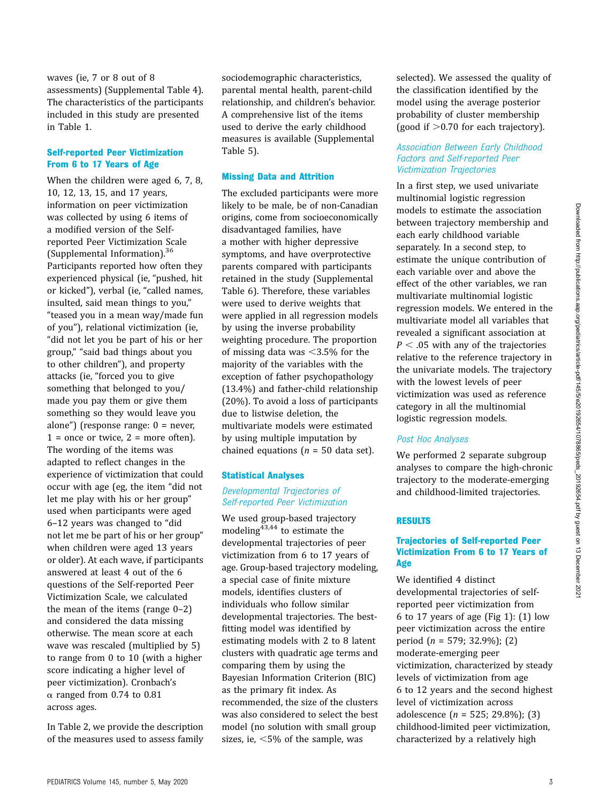waves (ie, 7 or 8 out of 8 assessments) [\(Supplemental Table 4\)](https://pediatrics.aappublications.org/lookup/suppl/doi:10.1542/peds.2019-2654/-/DCSupplemental/). The characteristics of the participants included in this study are presented in Table 1.

#### Self-reported Peer Victimization From 6 to 17 Years of Age

When the children were aged 6, 7, 8, 10, 12, 13, 15, and 17 years, information on peer victimization was collected by using 6 items of a modified version of the Selfreported Peer Victimization Scale [\(Supplemental Information\)](https://pediatrics.aappublications.org/lookup/suppl/doi:10.1542/peds.2019-2654/-/DCSupplemental/).[36](#page-8-0) Participants reported how often they experienced physical (ie, "pushed, hit or kicked"), verbal (ie, "called names, insulted, said mean things to you," "teased you in a mean way/made fun of you"), relational victimization (ie, "did not let you be part of his or her group," "said bad things about you to other children"), and property attacks (ie, "forced you to give something that belonged to you/ made you pay them or give them something so they would leave you alone") (response range: 0 = never,  $1 =$  once or twice,  $2 =$  more often). The wording of the items was adapted to reflect changes in the experience of victimization that could occur with age (eg, the item "did not let me play with his or her group" used when participants were aged 6–12 years was changed to "did not let me be part of his or her group" when children were aged 13 years or older). At each wave, if participants answered at least 4 out of the 6 questions of the Self-reported Peer Victimization Scale, we calculated the mean of the items (range  $0-2$ ) and considered the data missing otherwise. The mean score at each wave was rescaled (multiplied by 5) to range from 0 to 10 (with a higher score indicating a higher level of peer victimization). Cronbach's  $\alpha$  ranged from 0.74 to 0.81 across ages.

In Table 2, we provide the description of the measures used to assess family sociodemographic characteristics, parental mental health, parent-child relationship, and children's behavior. A comprehensive list of the items used to derive the early childhood measures is available ([Supplemental](https://pediatrics.aappublications.org/lookup/suppl/doi:10.1542/peds.2019-2654/-/DCSupplemental/) [Table 5\)](https://pediatrics.aappublications.org/lookup/suppl/doi:10.1542/peds.2019-2654/-/DCSupplemental/).

#### Missing Data and Attrition

The excluded participants were more likely to be male, be of non-Canadian origins, come from socioeconomically disadvantaged families, have a mother with higher depressive symptoms, and have overprotective parents compared with participants retained in the study ([Supplemental](https://pediatrics.aappublications.org/lookup/suppl/doi:10.1542/peds.2019-2654/-/DCSupplemental/) [Table 6\)](https://pediatrics.aappublications.org/lookup/suppl/doi:10.1542/peds.2019-2654/-/DCSupplemental/). Therefore, these variables were used to derive weights that were applied in all regression models by using the inverse probability weighting procedure. The proportion of missing data was  $\leq$ 3.5% for the majority of the variables with the exception of father psychopathology (13.4%) and father-child relationship (20%). To avoid a loss of participants due to listwise deletion, the multivariate models were estimated by using multiple imputation by chained equations ( $n = 50$  data set).

#### Statistical Analyses

## Developmental Trajectories of Self-reported Peer Victimization

We used group-based trajectory modeling $43,44$  to estimate the developmental trajectories of peer victimization from 6 to 17 years of age. Group-based trajectory modeling, a special case of finite mixture models, identifies clusters of individuals who follow similar developmental trajectories. The bestfitting model was identified by estimating models with 2 to 8 latent clusters with quadratic age terms and comparing them by using the Bayesian Information Criterion (BIC) as the primary fit index. As recommended, the size of the clusters was also considered to select the best model (no solution with small group sizes, ie,  $<$ 5% of the sample, was

selected). We assessed the quality of the classification identified by the model using the average posterior probability of cluster membership (good if  $>0.70$  for each trajectory).

## Association Between Early Childhood Factors and Self-reported Peer Victimization Trajectories

In a first step, we used univariate multinomial logistic regression models to estimate the association between trajectory membership and each early childhood variable separately. In a second step, to estimate the unique contribution of each variable over and above the effect of the other variables, we ran multivariate multinomial logistic regression models. We entered in the multivariate model all variables that revealed a significant association at  $P < .05$  with any of the trajectories relative to the reference trajectory in the univariate models. The trajectory with the lowest levels of peer victimization was used as reference category in all the multinomial logistic regression models.

# Post Hoc Analyses

We performed 2 separate subgroup analyses to compare the high-chronic trajectory to the moderate-emerging and childhood-limited trajectories.

#### RESULTS

## Trajectories of Self-reported Peer Victimization From 6 to 17 Years of Age

We identified 4 distinct developmental trajectories of selfreported peer victimization from 6 to 17 years of age [\(Fig 1\)](#page-5-0): (1) low peer victimization across the entire period (n = 579; 32.9%); (2) moderate-emerging peer victimization, characterized by steady levels of victimization from age 6 to 12 years and the second highest level of victimization across adolescence  $(n = 525; 29.8\%)$ ; (3) childhood-limited peer victimization, characterized by a relatively high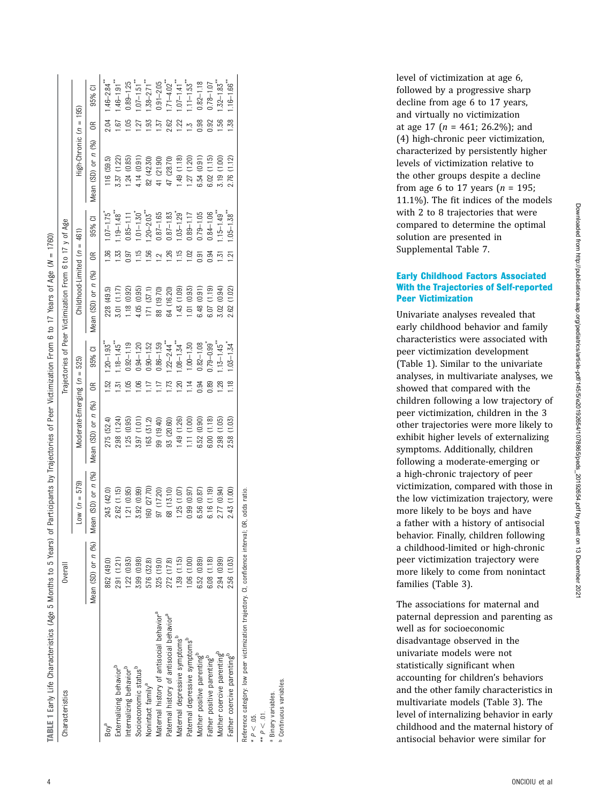| TABLE 1 Early Life Characteristics (Age 5 Months to 5 Years)                                    |                    |                          |                             |                |                             | of Participants by Trajectories of Peer Victimization From 6 to 17 Years of Age (N = 1760) |                |                             |                        |           |                             |
|-------------------------------------------------------------------------------------------------|--------------------|--------------------------|-----------------------------|----------------|-----------------------------|--------------------------------------------------------------------------------------------|----------------|-----------------------------|------------------------|-----------|-----------------------------|
| Characteristics                                                                                 | Overall            |                          |                             |                |                             | Trajectories of Peer Victimization From 6 to 17 y of Age                                   |                |                             |                        |           |                             |
|                                                                                                 |                    | $10w (n = 579)$          | Moderate-Emerging (n = 525) |                |                             | Childhood-Limited $(n = 461)$                                                              |                |                             | High-Chronic (n =      | 195       |                             |
|                                                                                                 | Mean (SD) or n (%) | Mean $(SD)$ or $n$ $(%)$ | Mean (SD) or n (%)          | $\approx$      | 95% CI                      | Mean (SD) or n (%)                                                                         | $\approx$      | 95% CI                      | Mean $(SD)$ or $n(96)$ | $\approx$ | ō<br>95%                    |
| Bov <sup>a</sup>                                                                                | 862 (49.0)         | 243 (42.0)               | 275 (52.4)                  | βŚ             | $1.20 - 1.93$               | 228 (49.5)                                                                                 | 36             | $1.07 - 1.75$               | 116(59.5)              |           | $1.46 - 2.84$ <sup>**</sup> |
| Externalizing behavior <sup>b</sup>                                                             | 2.91 (1.21)        | 2.62 (1.15)              | (1.24)<br>2.98(             | <u>ن</u>       | $1.18 - 1.45$ <sup>**</sup> | 3.01 (1.17)                                                                                | 1.33           | $1.19 - 1.48$ <sup>**</sup> | 3.37 (1.22)            | 57        | $1.46 - 1.91$ <sup>**</sup> |
| Internalizing behavior <sup>p</sup>                                                             | 1.22(0.93)         | 1.21(0.95)               | (0.95)<br>1.25              | 8              | $0.92 - 1.19$               | (18(0.92)                                                                                  | <b>187</b>     | $0.85 - 1.11$               | $-24(0.85)$            | 8ġ        | $0.89 - 1.25$               |
| Socioeconomic status <sup>b</sup>                                                               | 3.99 (0.98)        | 3.92 (0.99)              | 3.97 (1.01)                 | Sö             | $0.94 - 1.20$               | 4.05 (0.95)                                                                                | 115            | $.01 - 1.30$                | 4.14 (0.91)            | 27        | $-1.51$                     |
| Nonintact family <sup>a</sup>                                                                   | 576 (32.8)         | 160 (27.70)              | 163 (31.2)                  |                | $0.90 - 1.52$               | 171(37.1)                                                                                  | 1.56           | $.20 - 2.03$                | 82 (42.30)             | 93        | $1.38 - 2.71$               |
| Maternal history of antisocial behavior <sup>a</sup>                                            | 325 (19.0)         | 97 (17.20)               | 99 (19.40)                  | Ę              | $0.86 - 1.59$               | 88 (19.70)                                                                                 | $\bar{c}$      | $1.87 - 1.65$               | 41 (21.90)             | 137       | $0.91 - 2.05$               |
| Paternal history of antisocial behavior <sup>a</sup>                                            | 272 (17.8)         | 68 (13.10)               | 93 (20.60)                  | 73             | $1.22 - 2.44$               | 64 (16.20)                                                                                 | 1.26           | $0.87 - 1.83$               | 47 (28.70)             | 2.62      | $.71 - 4.02$                |
| Maternal depressive symptoms <sup>p</sup>                                                       | .39(1.15)          | 1.25(1.07)               | 1.49(1.26)                  | SÓ.            | $-4.54$                     | $(80.1)$ $54$                                                                              | 1.15           | $.03 - 1.29$                | .49(1.18)              | 1.22      | $-1.41$ <sup>**</sup>       |
| Paternal depressive symptoms"                                                                   | 06(1.00)           | 0.99(0.97)               | 11(1.00)                    | $\overline{1}$ | $-0.50$                     | .01(0.93)                                                                                  | 1.02           | $0.89 - 1.17$               | 27 (1.20)              | ŗ.        | $11 - 1.53$                 |
| Mother positive parenting <sup>p</sup>                                                          | 6.52 (0.89)        | 6.56 (0.87)              | (0.90)<br>6.52              | <b>1.94</b>    | $0.82 - 1.08$               | 6.48 (0.91)                                                                                | 5<br>0.91      | $1.79 - 1.05$               | 6.54 (0.91)            |           | $0.82 - 1.18$               |
| Father positive parenting <sup>o</sup>                                                          | 6.08 (1.18)        | 6.16(1.19)               | (1.18)<br>6.00              | 0.89           | $0.79 - 0.99$               | 6.07 (1.19)                                                                                | 0.94           | $0.84 - 1.06$               | 6.02(1.15)             | 0.92      | $0.78 - 1.07$               |
| Mother coercive parenting <sup>5</sup>                                                          | 2.94 (0.99)        | 2.77 (0.94)              | (1.05)<br>2.98              | $\frac{28}{2}$ | $.13 - 1.45$ <sup>**</sup>  | (0.94)<br>3.02                                                                             | 1.51           | $1.15 - 1.49$ <sup>**</sup> | 3.19 (1.00)            | 56        | $.32 - 1.83$                |
| Father coercive parenting <sup>p</sup>                                                          | 2.56 (1.03)        | 2.43 (1.00)              | 2.58 (1.03)                 |                | $03 - 1.34$                 | 2.62 (1.02)                                                                                | $\overline{2}$ | $05 - 1.38$                 | 2.76 (1.12)            | 38.       | $.16 - 1.66$ <sup>**</sup>  |
| Reference category: low peer victimization trajectory, Cl, confidence interval; OR, odds ratio. |                    |                          |                             |                |                             |                                                                                            |                |                             |                        |           |                             |

Reference category: low peer victimization trajectory. CI, confidence interval; OR, odds ratio.  $000S$ š, ä nter g nmm<br>S 5 nctimization peer  $\geq$ terence category:

 $\Rightarrow P < 01$ .  $* P < 01.$  $* P < .05.$ 

Continuous variables. Continuous variables. Binary variables. Binary variables. a

level of victimization at age 6, followed by a progressive sharp decline from age 6 to 17 years, and virtually no victimization at age  $17$  ( $n = 461$ ; 26.2%); and (4) high-chronic peer victimization, characterized by persistently higher levels of victimization relative to the other groups despite a decline from age 6 to 17 years  $(n = 195;$ 11.1%). The fit indices of the models with 2 to 8 trajectories that were compared to determine the optimal solution are presented in [Supplemental Table 7.](https://pediatrics.aappublications.org/lookup/suppl/doi:10.1542/peds.2019-2654/-/DCSupplemental/)

# Early Childhood Factors Associated With the Trajectories of Self-reported Peer Victimization

Univariate analyses revealed that early childhood behavior and family characteristics were associated with peer victimization development (Table 1). Similar to the univariate analyses, in multivariate analyses, we showed that compared with the children following a low trajectory of peer victimization, children in the 3 other trajectories were more likely to exhibit higher levels of externalizing symptoms. Additionally, children following a moderate-emerging or a high-chronic trajectory of peer victimization, compared with those in the low victimization trajectory, were more likely to be boys and have a father with a history of antisocial behavior. Finally, children following a childhood-limited or high-chronic peer victimization trajectory were more likely to come from nonintact families (Table 3).

The associations for maternal and paternal depression and parenting as well as for socioeconomic disadvantage observed in the univariate models were not statistically signi ficant when accounting for children 's behaviors and the other family characteristics in multivariate models (Table 3). The level of internalizing behavior in early childhood and the maternal history of antisocial behavior were similar for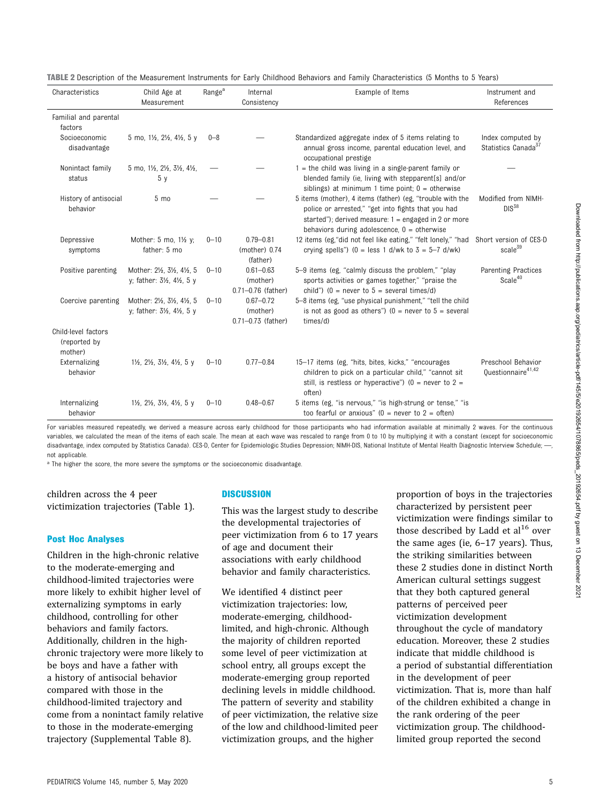| <b>TABLE 2</b> Description of the Measurement Instruments for Early Childhood Behaviors and Family Characteristics (5 Months to 5 Years) |  |  |  |
|------------------------------------------------------------------------------------------------------------------------------------------|--|--|--|
|------------------------------------------------------------------------------------------------------------------------------------------|--|--|--|

| Characteristics                                | Child Age at<br>Measurement                                                       | Range <sup>a</sup> | Internal<br>Consistency                             | Example of Items                                                                                                                                                                                                           | Instrument and<br>References                         |
|------------------------------------------------|-----------------------------------------------------------------------------------|--------------------|-----------------------------------------------------|----------------------------------------------------------------------------------------------------------------------------------------------------------------------------------------------------------------------------|------------------------------------------------------|
| Familial and parental<br>factors               |                                                                                   |                    |                                                     |                                                                                                                                                                                                                            |                                                      |
| Socioeconomic<br>disadvantage                  | 5 mo, 11/2, 21/2, 41/2, 5 y                                                       | $0 - 8$            |                                                     | Standardized aggregate index of 5 items relating to<br>annual gross income, parental education level, and<br>occupational prestige                                                                                         | Index computed by<br>Statistics Canada <sup>37</sup> |
| Nonintact family<br>status                     | 5 mo, 11/2, 21/2, 31/2, 41/2,<br>5 <sub>y</sub>                                   |                    |                                                     | $1$ = the child was living in a single-parent family or<br>blended family (ie, living with stepparent[s] and/or<br>siblings) at minimum 1 time point; $0 =$ otherwise                                                      |                                                      |
| History of antisocial<br>behavior              | $5 \text{ mo}$                                                                    |                    |                                                     | 5 items (mother), 4 items (father) (eg. "trouble with the<br>police or arrested," "get into fights that you had<br>started"); derived measure: $1 =$ engaged in 2 or more<br>behaviors during adolescence, $0 =$ otherwise | Modified from NIMH-<br>$DIS^{38}$                    |
| Depressive<br>symptoms                         | Mother: 5 mo, 1½ y;<br>father: 5 mo                                               | $0 - 10$           | $0.79 - 0.81$<br>(mother) $0.74$<br>(father)        | 12 items (eg, "did not feel like eating," "felt lonely," "had<br>crying spells") (0 = less 1 d/wk to $3 = 5-7$ d/wk)                                                                                                       | Short version of CES-D<br>scale <sup>39</sup>        |
| Positive parenting                             | Mother: 21/2, 31/2, 41/2, 5<br>y; father: 31/2, 41/2, 5 y                         | $0 - 10$           | $0.61 - 0.63$<br>(mother)<br>$0.71 - 0.76$ (father) | 5-9 items (eg, "calmly discuss the problem," "play<br>sports activities or games together," "praise the<br>child") (0 = never to $5$ = several times/d)                                                                    | Parenting Practices<br>Scale <sup>40</sup>           |
| Coercive parenting                             | Mother: 21/2, 31/2, 41/2, 5<br>y; father: 31/2, 41/2, 5 y                         | $0 - 10$           | $0.67 - 0.72$<br>(mother)<br>$0.71 - 0.73$ (father) | 5-8 items (eg, "use physical punishment," "tell the child<br>is not as good as others") ( $0 =$ never to $5 =$ several<br>times/d)                                                                                         |                                                      |
| Child-level factors<br>(reported by<br>mother) |                                                                                   |                    |                                                     |                                                                                                                                                                                                                            |                                                      |
| Externalizing<br>behavior                      | $1\frac{1}{2}$ , $2\frac{1}{2}$ , $3\frac{1}{2}$ , $4\frac{1}{2}$ , $5 \text{ y}$ | $0 - 10$           | $0.77 - 0.84$                                       | 15-17 items (eg, "hits, bites, kicks," "encourages<br>children to pick on a particular child," "cannot sit<br>still, is restless or hyperactive") ( $0 =$ never to $2 =$<br>often)                                         | Preschool Behavior<br>Questionnaire <sup>41,42</sup> |
| Internalizing<br>behavior                      | $1\frac{1}{2}$ , $2\frac{1}{2}$ , $3\frac{1}{2}$ , $4\frac{1}{2}$ , $5 \text{ y}$ | $0 - 10$           | $0.48 - 0.67$                                       | 5 items (eg, "is nervous," "is high-strung or tense," "is<br>too fearful or anxious" ( $0 =$ never to $2 =$ often)                                                                                                         |                                                      |

For variables measured repeatedly, we derived a measure across early childhood for those participants who had information available at minimally 2 waves. For the continuous variables, we calculated the mean of the items of each scale. The mean at each wave was rescaled to range from 0 to 10 by multiplying it with a constant (except for socioeconomic disadvantage, index computed by Statistics Canada). CES-D, Center for Epidemiologic Studies Depression; NIMH-DIS, National Institute of Mental Health Diagnostic Interview Schedule; ---, not applicable.

<sup>a</sup> The higher the score, the more severe the symptoms or the socioeconomic disadvantage.

children across the 4 peer victimization trajectories (Table 1).

#### Post Hoc Analyses

Children in the high-chronic relative to the moderate-emerging and childhood-limited trajectories were more likely to exhibit higher level of externalizing symptoms in early childhood, controlling for other behaviors and family factors. Additionally, children in the highchronic trajectory were more likely to be boys and have a father with a history of antisocial behavior compared with those in the childhood-limited trajectory and come from a nonintact family relative to those in the moderate-emerging trajectory ([Supplemental Table 8\)](https://pediatrics.aappublications.org/lookup/suppl/doi:10.1542/peds.2019-2654/-/DCSupplemental/).

#### **DISCUSSION**

This was the largest study to describe the developmental trajectories of peer victimization from 6 to 17 years of age and document their associations with early childhood behavior and family characteristics.

We identified 4 distinct peer victimization trajectories: low, moderate-emerging, childhoodlimited, and high-chronic. Although the majority of children reported some level of peer victimization at school entry, all groups except the moderate-emerging group reported declining levels in middle childhood. The pattern of severity and stability of peer victimization, the relative size of the low and childhood-limited peer victimization groups, and the higher

proportion of boys in the trajectories characterized by persistent peer victimization were findings similar to those described by Ladd et  $al^{16}$  $al^{16}$  $al^{16}$  over the same ages (ie, 6–17 years). Thus, the striking similarities between these 2 studies done in distinct North American cultural settings suggest that they both captured general patterns of perceived peer victimization development throughout the cycle of mandatory education. Moreover, these 2 studies indicate that middle childhood is a period of substantial differentiation in the development of peer victimization. That is, more than half of the children exhibited a change in the rank ordering of the peer victimization group. The childhoodlimited group reported the second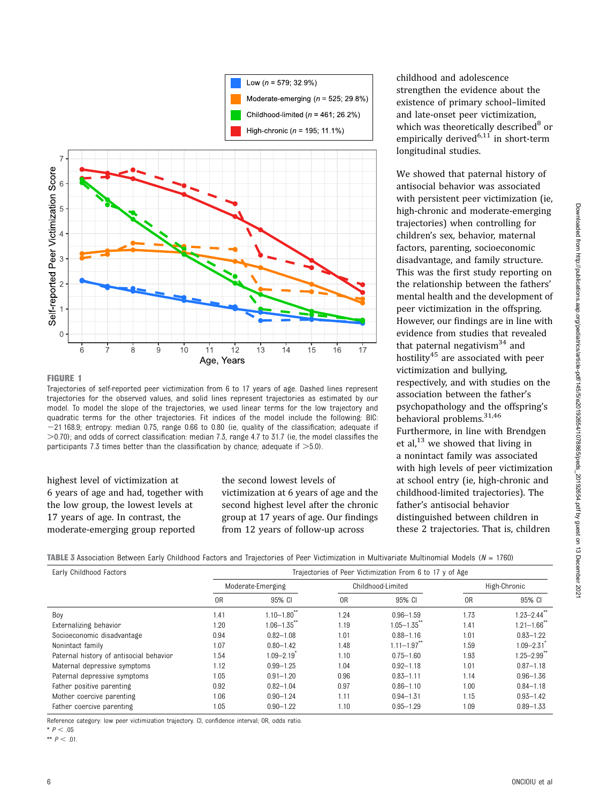<span id="page-5-0"></span>

#### FIGURE 1

Trajectories of self-reported peer victimization from 6 to 17 years of age. Dashed lines represent trajectories for the observed values, and solid lines represent trajectories as estimated by our model. To model the slope of the trajectories, we used linear terms for the low trajectory and quadratic terms for the other trajectories. Fit indices of the model include the following: BIC: -21 168.9; entropy: median 0.75, range 0.66 to 0.80 (ie, quality of the classification; adequate if  $>$ 0.70); and odds of correct classification: median 7.3, range 4.7 to 31.7 (ie, the model classifies the participants 7.3 times better than the classification by chance; adequate if  $>5.0$ ).

# highest level of victimization at 6 years of age and had, together with the low group, the lowest levels at 17 years of age. In contrast, the moderate-emerging group reported

the second lowest levels of victimization at 6 years of age and the second highest level after the chronic group at 17 years of age. Our findings from 12 years of follow-up across

childhood and adolescence strengthen the evidence about the existence of primary school–limited and late-onset peer victimization, which was theoretically described $8$  or empirically derived<sup>[6](#page-7-0),[11](#page-7-0)</sup> in short-term longitudinal studies.

We showed that paternal history of antisocial behavior was associated with persistent peer victimization (ie, high-chronic and moderate-emerging trajectories) when controlling for children's sex, behavior, maternal factors, parenting, socioeconomic disadvantage, and family structure. This was the first study reporting on the relationship between the fathers' mental health and the development of peer victimization in the offspring. However, our findings are in line with evidence from studies that revealed that paternal negativism<sup>34</sup> and hostility<sup>[45](#page-8-0)</sup> are associated with peer victimization and bullying, respectively, and with studies on the association between the father's psychopathology and the offspring's behavioral problems.<sup>[31,](#page-8-0)[46](#page-9-0)</sup> Furthermore, in line with Brendgen et al, $^{13}$  $^{13}$  $^{13}$  we showed that living in a nonintact family was associated with high levels of peer victimization at school entry (ie, high-chronic and childhood-limited trajectories). The father's antisocial behavior distinguished between children in these 2 trajectories. That is, children

TABLE 3 Association Between Early Childhood Factors and Trajectories of Peer Victimization in Multivariate Multinomial Models ( $N = 1760$ )

| Early Childhood Factors                 | Trajectories of Peer Victimization From 6 to 17 y of Age |                             |                |                   |                |                             |  |
|-----------------------------------------|----------------------------------------------------------|-----------------------------|----------------|-------------------|----------------|-----------------------------|--|
|                                         |                                                          | Moderate-Emerging           |                | Childhood-Limited |                | High-Chronic                |  |
|                                         | 0 <sub>R</sub>                                           | 95% CI                      | 0 <sub>R</sub> | 95% CI            | 0 <sub>R</sub> | 95% CI                      |  |
| Boy                                     | 1.41                                                     | $1.10 - 1.80$ <sup>**</sup> | 1.24           | $0.96 - 1.59$     | 1.73           | $1.23 - 2.44$ <sup>*</sup>  |  |
| Externalizing behavior                  | 1.20                                                     | $1.06 - 1.35$               | 1.19           | $1.05 - 1.35$     | 1.41           | $1.21 - 1.66$               |  |
| Socioeconomic disadvantage              | 0.94                                                     | $0.82 - 1.08$               | 1.01           | $0.88 - 1.16$     | 1.01           | $0.83 - 1.22$               |  |
| Nonintact family                        | 1.07                                                     | $0.80 - 1.42$               | 1.48           | $1.11 - 1.97$     | 1.59           | $1.09 - 2.31$               |  |
| Paternal history of antisocial behavior | 1.54                                                     | $1.09 - 2.19$               | 1.10           | $0.75 - 1.60$     | 1.93           | $1.25 - 2.99$ <sup>**</sup> |  |
| Maternal depressive symptoms            | 1.12                                                     | $0.99 - 1.25$               | 1.04           | $0.92 - 1.18$     | 1.01           | $0.87 - 1.18$               |  |
| Paternal depressive symptoms            | 1.05                                                     | $0.91 - 1.20$               | 0.96           | $0.83 - 1.11$     | 1.14           | $0.96 - 1.36$               |  |
| Father positive parenting               | 0.92                                                     | $0.82 - 1.04$               | 0.97           | $0.86 - 1.10$     | 1.00           | $0.84 - 1.18$               |  |
| Mother coercive parenting               | 1.06                                                     | $0.90 - 1.24$               | 1.11           | $0.94 - 1.31$     | 1.15           | $0.93 - 1.42$               |  |
| Father coercive parenting               | 1.05                                                     | $0.90 - 1.22$               | 1.10           | $0.95 - 1.29$     | 1.09           | $0.89 - 1.33$               |  |

Reference category: low peer victimization trajectory. CI, confidence interval; OR, odds ratio.

\*  $P < .05$ 

\*\*  $P < .01$ .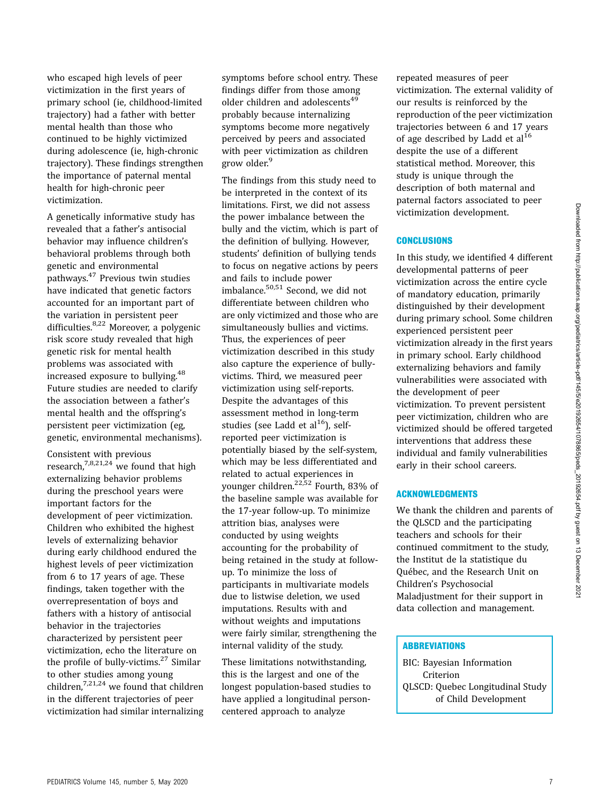Downloaded from http://publications.aap.org/pediatrics/article-pdf/145/5/e20192654/1078865/peds\_20192654.pdf by guest on 13 December 2021

who escaped high levels of peer victimization in the first years of primary school (ie, childhood-limited trajectory) had a father with better mental health than those who continued to be highly victimized during adolescence (ie, high-chronic trajectory). These findings strengthen the importance of paternal mental health for high-chronic peer victimization.

A genetically informative study has revealed that a father's antisocial behavior may influence children's behavioral problems through both genetic and environmental pathways[.47](#page-9-0) Previous twin studies have indicated that genetic factors accounted for an important part of the variation in persistent peer difficulties.[8](#page-7-0)[,22](#page-8-0) Moreover, a polygenic risk score study revealed that high genetic risk for mental health problems was associated with increased exposure to bullying[.48](#page-9-0) Future studies are needed to clarify the association between a father's mental health and the offspring's persistent peer victimization (eg, genetic, environmental mechanisms).

Consistent with previous research,<sup>7,8,[21,24](#page-8-0)</sup> we found that high externalizing behavior problems during the preschool years were important factors for the development of peer victimization. Children who exhibited the highest levels of externalizing behavior during early childhood endured the highest levels of peer victimization from 6 to 17 years of age. These findings, taken together with the overrepresentation of boys and fathers with a history of antisocial behavior in the trajectories characterized by persistent peer victimization, echo the literature on the profile of bully-victims.<sup>[27](#page-8-0)</sup> Similar to other studies among young children, $7,21,24$  $7,21,24$  we found that children in the different trajectories of peer victimization had similar internalizing symptoms before school entry. These findings differ from those among older children and adolescents<sup>[49](#page-9-0)</sup> probably because internalizing symptoms become more negatively perceived by peers and associated with peer victimization as children grow older.<sup>[9](#page-7-0)</sup>

The findings from this study need to be interpreted in the context of its limitations. First, we did not assess the power imbalance between the bully and the victim, which is part of the definition of bullying. However, students' definition of bullying tends to focus on negative actions by peers and fails to include power imbalance.[50,51](#page-9-0) Second, we did not differentiate between children who are only victimized and those who are simultaneously bullies and victims. Thus, the experiences of peer victimization described in this study also capture the experience of bullyvictims. Third, we measured peer victimization using self-reports. Despite the advantages of this assessment method in long-term studies (see Ladd et al $^{16}$ ), selfreported peer victimization is potentially biased by the self-system, which may be less differentiated and related to actual experiences in younger children.<sup>[22](#page-8-0)[,52](#page-9-0)</sup> Fourth, 83% of the baseline sample was available for the 17-year follow-up. To minimize attrition bias, analyses were conducted by using weights accounting for the probability of being retained in the study at followup. To minimize the loss of participants in multivariate models due to listwise deletion, we used imputations. Results with and without weights and imputations were fairly similar, strengthening the internal validity of the study.

These limitations notwithstanding, this is the largest and one of the longest population-based studies to have applied a longitudinal personcentered approach to analyze

repeated measures of peer victimization. The external validity of our results is reinforced by the reproduction of the peer victimization trajectories between 6 and 17 years of age described by Ladd et  $al^{16}$  $al^{16}$  $al^{16}$ despite the use of a different statistical method. Moreover, this study is unique through the description of both maternal and paternal factors associated to peer victimization development.

## **CONCLUSIONS**

In this study, we identified 4 different developmental patterns of peer victimization across the entire cycle of mandatory education, primarily distinguished by their development during primary school. Some children experienced persistent peer victimization already in the first years in primary school. Early childhood externalizing behaviors and family vulnerabilities were associated with the development of peer victimization. To prevent persistent peer victimization, children who are victimized should be offered targeted interventions that address these individual and family vulnerabilities early in their school careers.

# ACKNOWLEDGMENTS

We thank the children and parents of the QLSCD and the participating teachers and schools for their continued commitment to the study, the Institut de la statistique du Québec, and the Research Unit on Children's Psychosocial Maladjustment for their support in data collection and management.

#### **ABBREVIATIONS**

BIC: Bayesian Information Criterion QLSCD: Quebec Longitudinal Study of Child Development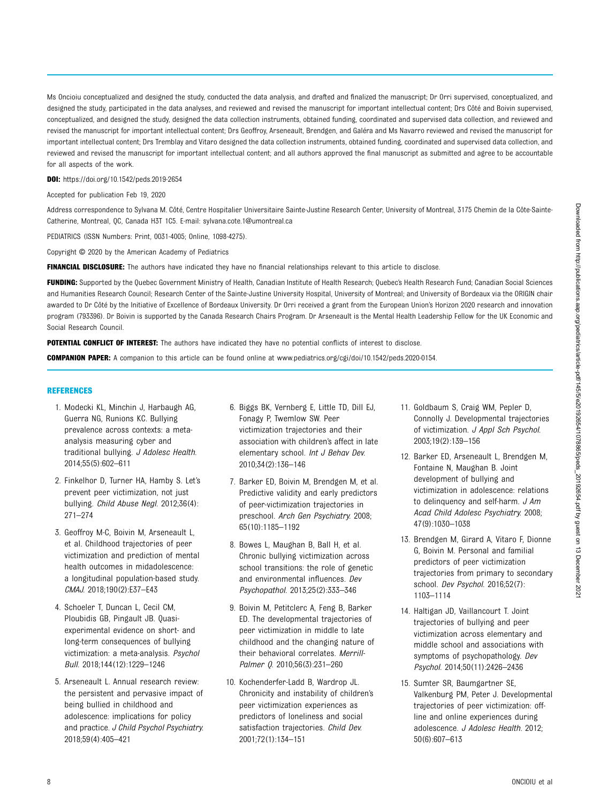Downloaded from http://publications.aap.org/pediatrics/article-pdf/145/6201926541078865/peds\_20192654.pdf by guest on 13 December 202 Downloaded from http://publications.aap.org/pediatrics/article-pdf/145/5/e20192654/1078865/peds\_20192654.pdf by guest on 13 December 2021

<span id="page-7-0"></span>Ms Oncioiu conceptualized and designed the study, conducted the data analysis, and drafted and finalized the manuscript; Dr Orri supervised, conceptualized, and designed the study, participated in the data analyses, and reviewed and revised the manuscript for important intellectual content; Drs Côté and Boivin supervised, conceptualized, and designed the study, designed the data collection instruments, obtained funding, coordinated and supervised data collection, and reviewed and revised the manuscript for important intellectual content; Drs Geoffroy, Arseneault, Brendgen, and Galéra and Ms Navarro reviewed and revised the manuscript for important intellectual content; Drs Tremblay and Vitaro designed the data collection instruments, obtained funding, coordinated and supervised data collection, and reviewed and revised the manuscript for important intellectual content; and all authors approved the final manuscript as submitted and agree to be accountable for all aspects of the work.

DOI: <https://doi.org/10.1542/peds.2019-2654>

Accepted for publication Feb 19, 2020

Address correspondence to Sylvana M. Côté, Centre Hospitalier Universitaire Sainte-Justine Research Center, University of Montreal, 3175 Chemin de la Côte-Sainte-Catherine, Montreal, QC, Canada H3T 1C5. E-mail: [sylvana.cote.1@umontreal.ca](mailto:sylvana.cote.1@umontreal.ca)

PEDIATRICS (ISSN Numbers: Print, 0031-4005; Online, 1098-4275).

Copyright © 2020 by the American Academy of Pediatrics

FINANCIAL DISCLOSURE: The authors have indicated they have no financial relationships relevant to this article to disclose.

FUNDING: Supported by the Quebec Government Ministry of Health, Canadian Institute of Health Research; Quebec's Health Research Fund; Canadian Social Sciences and Humanities Research Council; Research Center of the Sainte-Justine University Hospital, University of Montreal; and University of Bordeaux via the ORIGIN chair awarded to Dr Côté by the Initiative of Excellence of Bordeaux University. Dr Orri received a grant from the European Union's Horizon 2020 research and innovation program (793396). Dr Boivin is supported by the Canada Research Chairs Program. Dr Arseneault is the Mental Health Leadership Fellow for the UK Economic and Social Research Council.

POTENTIAL CONFLICT OF INTEREST: The authors have indicated they have no potential conflicts of interest to disclose.

COMPANION PAPER: A companion to this article can be found online at [www.pediatrics.org/cgi/doi/10.1542/peds.2020-0154.](http://www.pediatrics.org/cgi/doi/10.1542/peds.2020-0154)

#### **REFERENCES**

- 1. Modecki KL, Minchin J, Harbaugh AG, Guerra NG, Runions KC. Bullying prevalence across contexts: a metaanalysis measuring cyber and traditional bullying. J Adolesc Health. 2014;55(5):602–611
- 2. Finkelhor D, Turner HA, Hamby S. Let's prevent peer victimization, not just bullying. Child Abuse Negl. 2012;36(4): 271–274
- 3. Geoffroy M-C, Boivin M, Arseneault L, et al. Childhood trajectories of peer victimization and prediction of mental health outcomes in midadolescence: a longitudinal population-based study. CMAJ. 2018;190(2):E37–E43
- 4. Schoeler T, Duncan L, Cecil CM, Ploubidis GB, Pingault JB. Quasiexperimental evidence on short- and long-term consequences of bullying victimization: a meta-analysis. Psychol Bull. 2018;144(12):1229–1246
- 5. Arseneault L. Annual research review: the persistent and pervasive impact of being bullied in childhood and adolescence: implications for policy and practice. J Child Psychol Psychiatry. 2018;59(4):405–421
- 6. Biggs BK, Vernberg E, Little TD, Dill EJ, Fonagy P, Twemlow SW. Peer victimization trajectories and their association with children's affect in late elementary school. Int J Behav Dev. 2010;34(2):136–146
- 7. Barker ED, Boivin M, Brendgen M, et al. Predictive validity and early predictors of peer-victimization trajectories in preschool. Arch Gen Psychiatry. 2008; 65(10):1185–1192
- 8. Bowes L, Maughan B, Ball H, et al. Chronic bullying victimization across school transitions: the role of genetic and environmental influences. Dev Psychopathol. 2013;25(2):333–346
- 9. Boivin M, Petitclerc A, Feng B, Barker ED. The developmental trajectories of peer victimization in middle to late childhood and the changing nature of their behavioral correlates. Merrill-Palmer Q. 2010;56(3):231–260
- 10. Kochenderfer-Ladd B, Wardrop JL. Chronicity and instability of children's peer victimization experiences as predictors of loneliness and social satisfaction trajectories. Child Dev. 2001;72(1):134–151
- 11. Goldbaum S, Craig WM, Pepler D, Connolly J. Developmental trajectories of victimization. J Appl Sch Psychol. 2003;19(2):139–156
- 12. Barker ED, Arseneault L, Brendgen M, Fontaine N, Maughan B. Joint development of bullying and victimization in adolescence: relations to delinquency and self-harm. J Am Acad Child Adolesc Psychiatry. 2008; 47(9):1030–1038
- 13. Brendgen M, Girard A, Vitaro F, Dionne G, Boivin M. Personal and familial predictors of peer victimization trajectories from primary to secondary school. Dev Psychol. 2016;52(7): 1103–1114
- 14. Haltigan JD, Vaillancourt T. Joint trajectories of bullying and peer victimization across elementary and middle school and associations with symptoms of psychopathology. Dev Psychol. 2014;50(11):2426–2436
- 15. Sumter SR, Baumgartner SE, Valkenburg PM, Peter J. Developmental trajectories of peer victimization: offline and online experiences during adolescence. J Adolesc Health. 2012; 50(6):607–613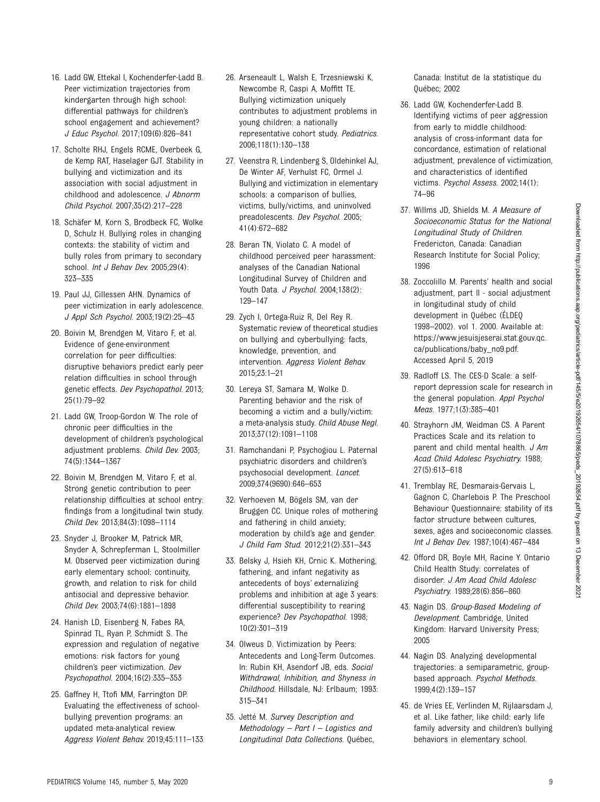- <span id="page-8-0"></span>16. Ladd GW, Ettekal I, Kochenderfer-Ladd B. Peer victimization trajectories from kindergarten through high school: differential pathways for children's school engagement and achievement? J Educ Psychol. 2017;109(6):826–841
- 17. Scholte RHJ, Engels RCME, Overbeek G, de Kemp RAT, Haselager GJT. Stability in bullying and victimization and its association with social adjustment in childhood and adolescence. J Abnorm Child Psychol. 2007;35(2):217–228
- 18. Schäfer M, Korn S, Brodbeck FC, Wolke D, Schulz H. Bullying roles in changing contexts: the stability of victim and bully roles from primary to secondary school. *Int J Behav Dev.* 2005;29(4): 323–335
- 19. Paul JJ, Cillessen AHN. Dynamics of peer victimization in early adolescence. J Appl Sch Psychol. 2003;19(2):25–43
- 20. Boivin M, Brendgen M, Vitaro F, et al. Evidence of gene-environment correlation for peer difficulties: disruptive behaviors predict early peer relation difficulties in school through genetic effects. Dev Psychopathol. 2013; 25(1):79–92
- 21. Ladd GW, Troop-Gordon W. The role of chronic peer difficulties in the development of children's psychological adjustment problems. Child Dev. 2003; 74(5):1344–1367
- 22. Boivin M, Brendgen M, Vitaro F, et al. Strong genetic contribution to peer relationship difficulties at school entry: findings from a longitudinal twin study. Child Dev. 2013;84(3):1098–1114
- 23. Snyder J, Brooker M, Patrick MR, Snyder A, Schrepferman L, Stoolmiller M. Observed peer victimization during early elementary school: continuity, growth, and relation to risk for child antisocial and depressive behavior. Child Dev. 2003;74(6):1881–1898
- 24. Hanish LD, Eisenberg N, Fabes RA, Spinrad TL, Ryan P, Schmidt S. The expression and regulation of negative emotions: risk factors for young children's peer victimization. Dev Psychopathol. 2004;16(2):335–353
- 25. Gaffney H, Ttofi MM, Farrington DP. Evaluating the effectiveness of schoolbullying prevention programs: an updated meta-analytical review. Aggress Violent Behav. 2019;45:111–133
- 26. Arseneault L, Walsh E, Trzesniewski K, Newcombe R, Caspi A, Moffitt TE. Bullying victimization uniquely contributes to adjustment problems in young children: a nationally representative cohort study. Pediatrics. 2006;118(1):130–138
- 27. Veenstra R, Lindenberg S, Oldehinkel AJ, De Winter AF, Verhulst FC, Ormel J. Bullying and victimization in elementary schools: a comparison of bullies, victims, bully/victims, and uninvolved preadolescents. Dev Psychol. 2005; 41(4):672–682
- 28. Beran TN, Violato C. A model of childhood perceived peer harassment: analyses of the Canadian National Longitudinal Survey of Children and Youth Data. J Psychol. 2004;138(2): 129–147
- 29. Zych I, Ortega-Ruiz R, Del Rey R. Systematic review of theoretical studies on bullying and cyberbullying: facts, knowledge, prevention, and intervention. Aggress Violent Behav. 2015;23:1–21
- 30. Lereya ST, Samara M, Wolke D. Parenting behavior and the risk of becoming a victim and a bully/victim: a meta-analysis study. Child Abuse Negl. 2013;37(12):1091–1108
- 31. Ramchandani P, Psychogiou L. Paternal psychiatric disorders and children's psychosocial development. Lancet. 2009;374(9690):646–653
- 32. Verhoeven M, Bögels SM, van der Bruggen CC. Unique roles of mothering and fathering in child anxiety; moderation by child's age and gender. J Child Fam Stud. 2012;21(2):331–343
- 33. Belsky J, Hsieh KH, Crnic K. Mothering, fathering, and infant negativity as antecedents of boys' externalizing problems and inhibition at age 3 years: differential susceptibility to rearing experience? Dev Psychopathol. 1998; 10(2):301–319
- 34. Olweus D. Victimization by Peers: Antecedents and Long-Term Outcomes. In: Rubin KH, Asendorf JB, eds. Social Withdrawal, Inhibition, and Shyness in Childhood. Hillsdale, NJ: Erlbaum; 1993: 315–341
- 35. Jetté M. Survey Description and Methodology  $-$  Part  $1 -$  Logistics and Longitudinal Data Collections. Québec,

Canada: Institut de la statistique du Québec; 2002

- 36. Ladd GW, Kochenderfer-Ladd B. Identifying victims of peer aggression from early to middle childhood: analysis of cross-informant data for concordance, estimation of relational adjustment, prevalence of victimization, and characteristics of identified victims. Psychol Assess. 2002;14(1): 74–96
- 37. Willms JD, Shields M. A Measure of Socioeconomic Status for the National Longitudinal Study of Children. Fredericton, Canada: Canadian Research Institute for Social Policy; 1996
- 38. Zoccolillo M. Parents' health and social adjustment, part II - social adjustment in longitudinal study of child development in Québec (ÉLDEQ 1998–2002). vol 1. 2000. Available at: [https://www.jesuisjeserai.stat.gouv.qc.](https://www.jesuisjeserai.stat.gouv.qc.ca/publications/baby_no9.pdf) [ca/publications/baby\\_no9.pdf](https://www.jesuisjeserai.stat.gouv.qc.ca/publications/baby_no9.pdf). Accessed April 5, 2019
- 39. Radloff LS. The CES-D Scale: a selfreport depression scale for research in the general population. Appl Psychol Meas. 1977;1(3):385–401
- 40. Strayhorn JM, Weidman CS. A Parent Practices Scale and its relation to parent and child mental health. J Am Acad Child Adolesc Psychiatry. 1988; 27(5):613–618
- 41. Tremblay RE, Desmarais-Gervais L, Gagnon C, Charlebois P. The Preschool Behaviour Questionnaire: stability of its factor structure between cultures, sexes, ages and socioeconomic classes. Int J Behav Dev. 1987;10(4):467–484
- 42. Offord DR, Boyle MH, Racine Y. Ontario Child Health Study: correlates of disorder. J Am Acad Child Adolesc Psychiatry. 1989;28(6):856–860
- 43. Nagin DS. Group-Based Modeling of Development. Cambridge, United Kingdom: Harvard University Press; 2005
- 44. Nagin DS. Analyzing developmental trajectories: a semiparametric, groupbased approach. Psychol Methods. 1999;4(2):139–157
- 45. de Vries EE, Verlinden M, Rijlaarsdam J, et al. Like father, like child: early life family adversity and children's bullying behaviors in elementary school.